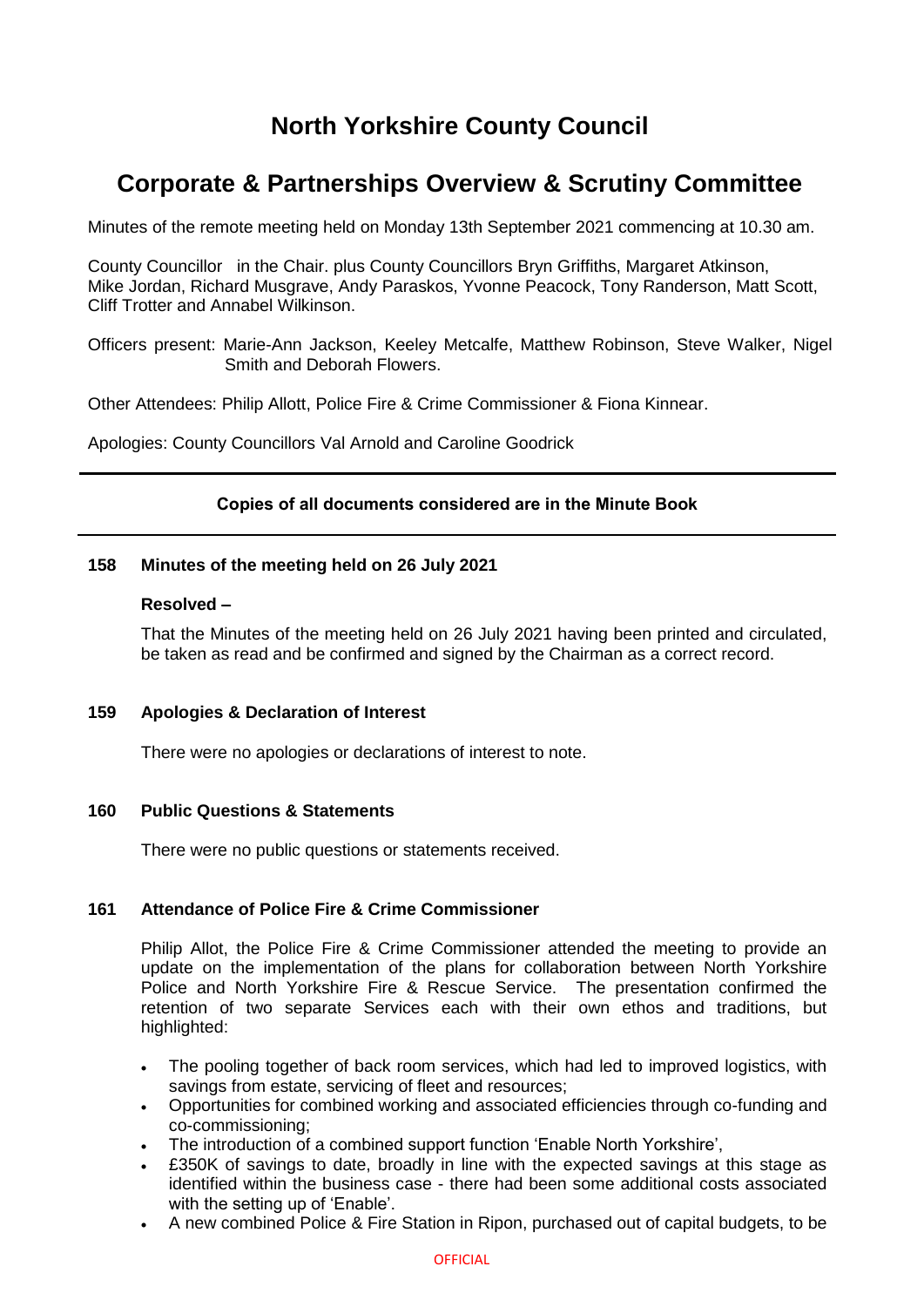# **North Yorkshire County Council**

# **Corporate & Partnerships Overview & Scrutiny Committee**

Minutes of the remote meeting held on Monday 13th September 2021 commencing at 10.30 am.

County Councillor in the Chair. plus County Councillors Bryn Griffiths, Margaret Atkinson, Mike Jordan, Richard Musgrave, Andy Paraskos, Yvonne Peacock, Tony Randerson, Matt Scott, Cliff Trotter and Annabel Wilkinson.

Officers present: Marie-Ann Jackson, Keeley Metcalfe, Matthew Robinson, Steve Walker, Nigel Smith and Deborah Flowers.

Other Attendees: Philip Allott, Police Fire & Crime Commissioner & Fiona Kinnear.

Apologies: County Councillors Val Arnold and Caroline Goodrick

# **Copies of all documents considered are in the Minute Book**

### **158 Minutes of the meeting held on 26 July 2021**

### **Resolved –**

That the Minutes of the meeting held on 26 July 2021 having been printed and circulated, be taken as read and be confirmed and signed by the Chairman as a correct record.

# **159 Apologies & Declaration of Interest**

There were no apologies or declarations of interest to note.

#### **160 Public Questions & Statements**

There were no public questions or statements received.

# **161 Attendance of Police Fire & Crime Commissioner**

Philip Allot, the Police Fire & Crime Commissioner attended the meeting to provide an update on the implementation of the plans for collaboration between North Yorkshire Police and North Yorkshire Fire & Rescue Service. The presentation confirmed the retention of two separate Services each with their own ethos and traditions, but highlighted:

- The pooling together of back room services, which had led to improved logistics, with savings from estate, servicing of fleet and resources;
- Opportunities for combined working and associated efficiencies through co-funding and co-commissioning;
- The introduction of a combined support function 'Enable North Yorkshire',
- £350K of savings to date, broadly in line with the expected savings at this stage as identified within the business case - there had been some additional costs associated with the setting up of 'Enable'.
- A new combined Police & Fire Station in Ripon, purchased out of capital budgets, to be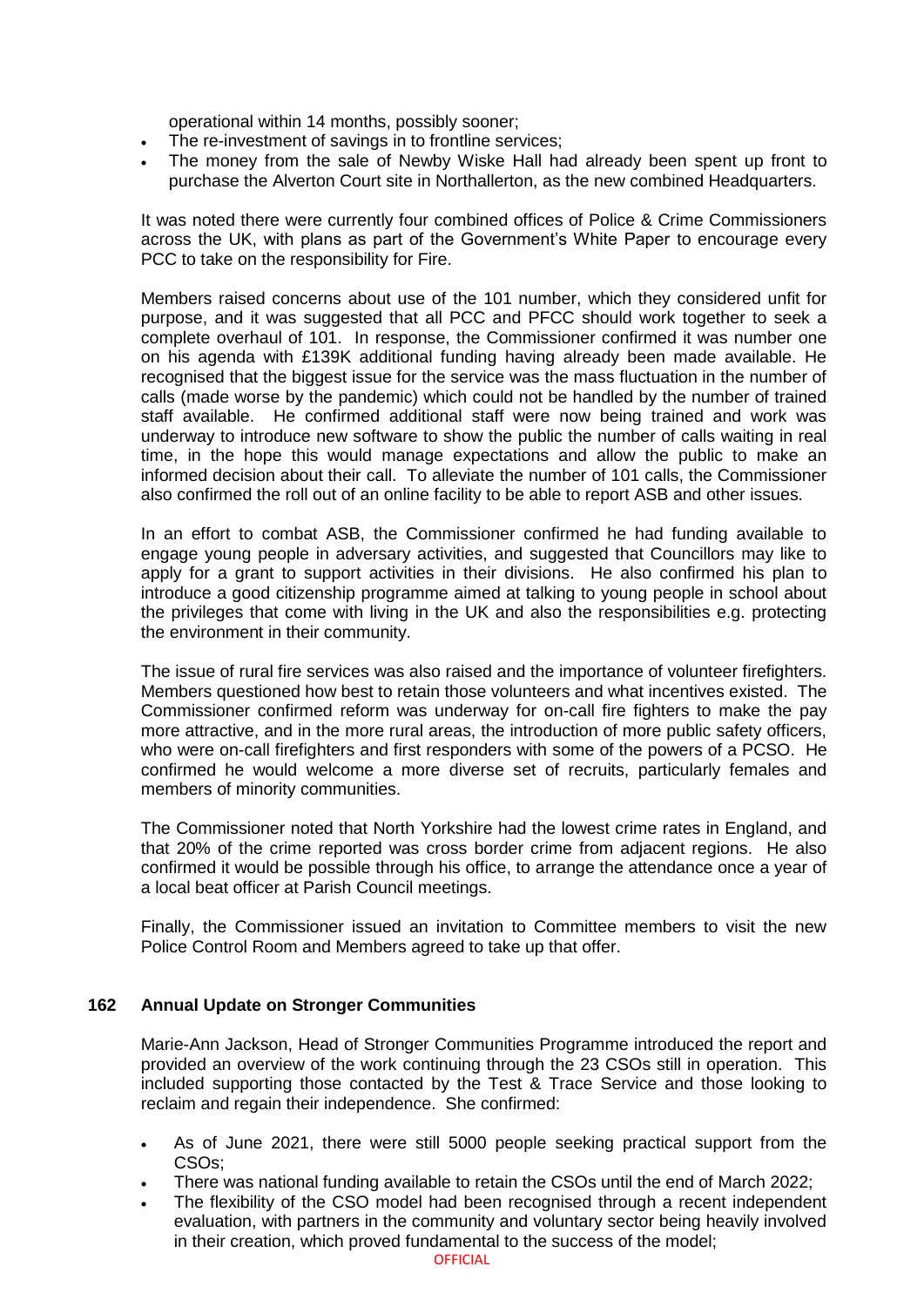operational within 14 months, possibly sooner;

- The re-investment of savings in to frontline services;
- The money from the sale of Newby Wiske Hall had already been spent up front to purchase the Alverton Court site in Northallerton, as the new combined Headquarters.

It was noted there were currently four combined offices of Police & Crime Commissioners across the UK, with plans as part of the Government's White Paper to encourage every PCC to take on the responsibility for Fire.

Members raised concerns about use of the 101 number, which they considered unfit for purpose, and it was suggested that all PCC and PFCC should work together to seek a complete overhaul of 101. In response, the Commissioner confirmed it was number one on his agenda with £139K additional funding having already been made available. He recognised that the biggest issue for the service was the mass fluctuation in the number of calls (made worse by the pandemic) which could not be handled by the number of trained staff available. He confirmed additional staff were now being trained and work was underway to introduce new software to show the public the number of calls waiting in real time, in the hope this would manage expectations and allow the public to make an informed decision about their call. To alleviate the number of 101 calls, the Commissioner also confirmed the roll out of an online facility to be able to report ASB and other issues.

In an effort to combat ASB, the Commissioner confirmed he had funding available to engage young people in adversary activities, and suggested that Councillors may like to apply for a grant to support activities in their divisions. He also confirmed his plan to introduce a good citizenship programme aimed at talking to young people in school about the privileges that come with living in the UK and also the responsibilities e.g. protecting the environment in their community.

The issue of rural fire services was also raised and the importance of volunteer firefighters. Members questioned how best to retain those volunteers and what incentives existed. The Commissioner confirmed reform was underway for on-call fire fighters to make the pay more attractive, and in the more rural areas, the introduction of more public safety officers, who were on-call firefighters and first responders with some of the powers of a PCSO. He confirmed he would welcome a more diverse set of recruits, particularly females and members of minority communities.

The Commissioner noted that North Yorkshire had the lowest crime rates in England, and that 20% of the crime reported was cross border crime from adjacent regions. He also confirmed it would be possible through his office, to arrange the attendance once a year of a local beat officer at Parish Council meetings.

Finally, the Commissioner issued an invitation to Committee members to visit the new Police Control Room and Members agreed to take up that offer.

# **162 Annual Update on Stronger Communities**

Marie-Ann Jackson, Head of Stronger Communities Programme introduced the report and provided an overview of the work continuing through the 23 CSOs still in operation. This included supporting those contacted by the Test & Trace Service and those looking to reclaim and regain their independence. She confirmed:

- As of June 2021, there were still 5000 people seeking practical support from the CSOs;
- There was national funding available to retain the CSOs until the end of March 2022;
- The flexibility of the CSO model had been recognised through a recent independent evaluation, with partners in the community and voluntary sector being heavily involved in their creation, which proved fundamental to the success of the model;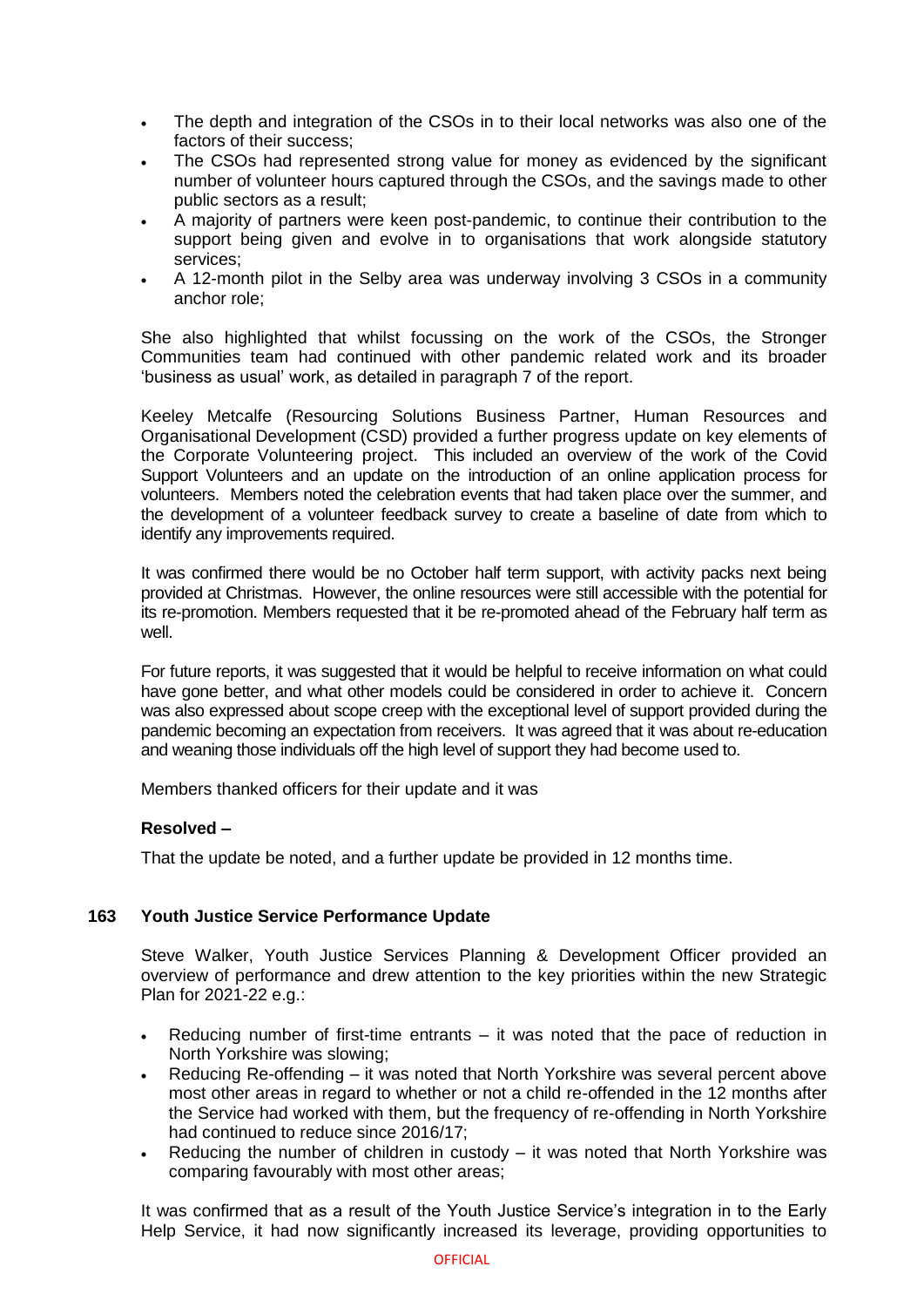- The depth and integration of the CSOs in to their local networks was also one of the factors of their success;
- The CSOs had represented strong value for money as evidenced by the significant number of volunteer hours captured through the CSOs, and the savings made to other public sectors as a result;
- A majority of partners were keen post-pandemic, to continue their contribution to the support being given and evolve in to organisations that work alongside statutory services;
- A 12-month pilot in the Selby area was underway involving 3 CSOs in a community anchor role;

She also highlighted that whilst focussing on the work of the CSOs, the Stronger Communities team had continued with other pandemic related work and its broader 'business as usual' work, as detailed in paragraph 7 of the report.

Keeley Metcalfe (Resourcing Solutions Business Partner, Human Resources and Organisational Development (CSD) provided a further progress update on key elements of the Corporate Volunteering project. This included an overview of the work of the Covid Support Volunteers and an update on the introduction of an online application process for volunteers. Members noted the celebration events that had taken place over the summer, and the development of a volunteer feedback survey to create a baseline of date from which to identify any improvements required.

It was confirmed there would be no October half term support, with activity packs next being provided at Christmas. However, the online resources were still accessible with the potential for its re-promotion. Members requested that it be re-promoted ahead of the February half term as well.

For future reports, it was suggested that it would be helpful to receive information on what could have gone better, and what other models could be considered in order to achieve it. Concern was also expressed about scope creep with the exceptional level of support provided during the pandemic becoming an expectation from receivers. It was agreed that it was about re-education and weaning those individuals off the high level of support they had become used to.

Members thanked officers for their update and it was

# **Resolved –**

That the update be noted, and a further update be provided in 12 months time.

# **163 Youth Justice Service Performance Update**

Steve Walker, Youth Justice Services Planning & Development Officer provided an overview of performance and drew attention to the key priorities within the new Strategic Plan for 2021-22 e.g.:

- Reducing number of first-time entrants it was noted that the pace of reduction in North Yorkshire was slowing;
- Reducing Re-offending it was noted that North Yorkshire was several percent above most other areas in regard to whether or not a child re-offended in the 12 months after the Service had worked with them, but the frequency of re-offending in North Yorkshire had continued to reduce since 2016/17;
- Reducing the number of children in custody it was noted that North Yorkshire was comparing favourably with most other areas;

It was confirmed that as a result of the Youth Justice Service's integration in to the Early Help Service, it had now significantly increased its leverage, providing opportunities to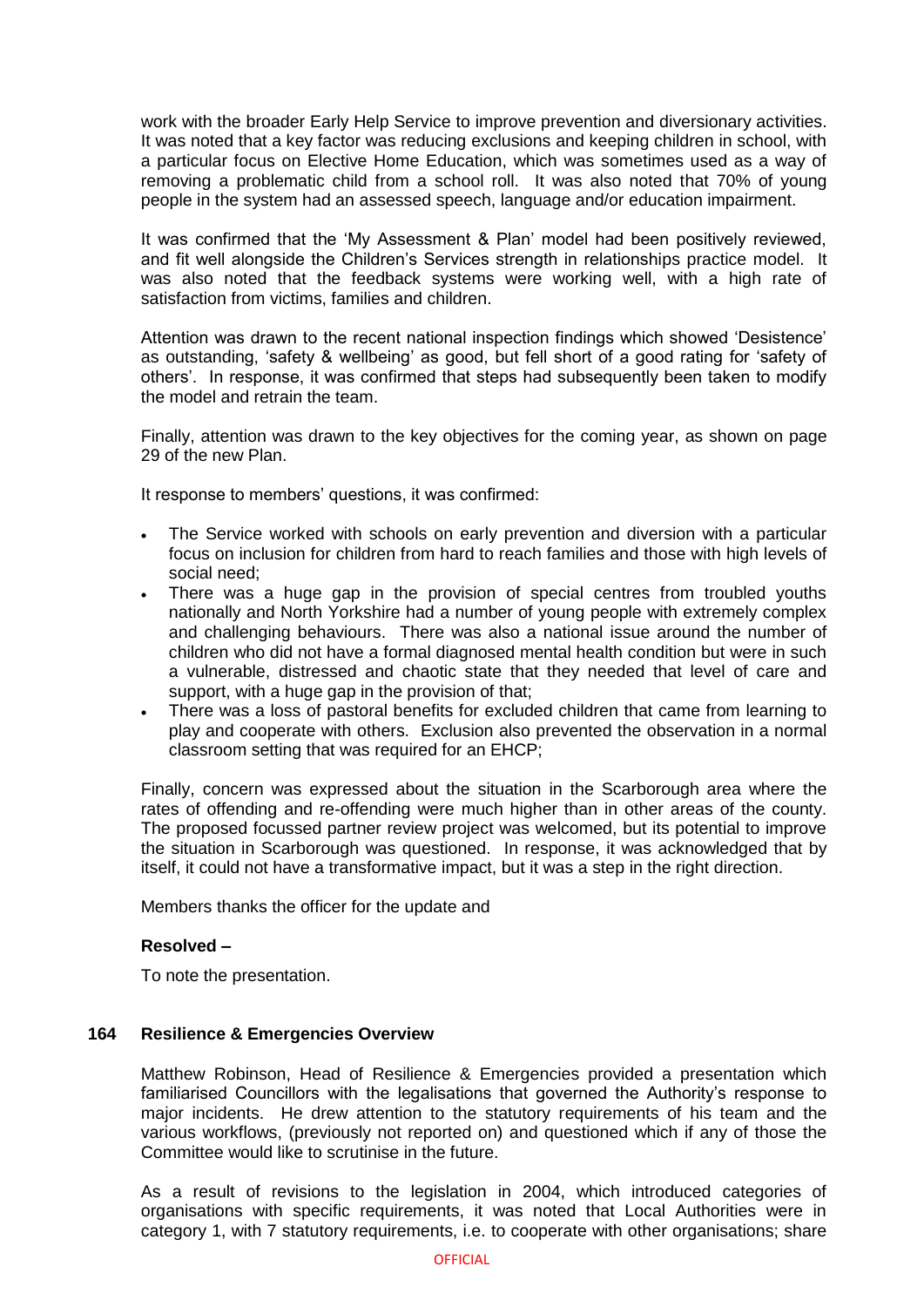work with the broader Early Help Service to improve prevention and diversionary activities. It was noted that a key factor was reducing exclusions and keeping children in school, with a particular focus on Elective Home Education, which was sometimes used as a way of removing a problematic child from a school roll. It was also noted that 70% of young people in the system had an assessed speech, language and/or education impairment.

It was confirmed that the 'My Assessment & Plan' model had been positively reviewed, and fit well alongside the Children's Services strength in relationships practice model. It was also noted that the feedback systems were working well, with a high rate of satisfaction from victims, families and children.

Attention was drawn to the recent national inspection findings which showed 'Desistence' as outstanding, 'safety & wellbeing' as good, but fell short of a good rating for 'safety of others'. In response, it was confirmed that steps had subsequently been taken to modify the model and retrain the team.

Finally, attention was drawn to the key objectives for the coming year, as shown on page 29 of the new Plan.

It response to members' questions, it was confirmed:

- The Service worked with schools on early prevention and diversion with a particular focus on inclusion for children from hard to reach families and those with high levels of social need;
- There was a huge gap in the provision of special centres from troubled youths nationally and North Yorkshire had a number of young people with extremely complex and challenging behaviours. There was also a national issue around the number of children who did not have a formal diagnosed mental health condition but were in such a vulnerable, distressed and chaotic state that they needed that level of care and support, with a huge gap in the provision of that;
- There was a loss of pastoral benefits for excluded children that came from learning to play and cooperate with others. Exclusion also prevented the observation in a normal classroom setting that was required for an EHCP;

Finally, concern was expressed about the situation in the Scarborough area where the rates of offending and re-offending were much higher than in other areas of the county. The proposed focussed partner review project was welcomed, but its potential to improve the situation in Scarborough was questioned. In response, it was acknowledged that by itself, it could not have a transformative impact, but it was a step in the right direction.

Members thanks the officer for the update and

#### **Resolved –**

To note the presentation.

#### **164 Resilience & Emergencies Overview**

Matthew Robinson, Head of Resilience & Emergencies provided a presentation which familiarised Councillors with the legalisations that governed the Authority's response to major incidents. He drew attention to the statutory requirements of his team and the various workflows, (previously not reported on) and questioned which if any of those the Committee would like to scrutinise in the future.

As a result of revisions to the legislation in 2004, which introduced categories of organisations with specific requirements, it was noted that Local Authorities were in category 1, with 7 statutory requirements, i.e. to cooperate with other organisations; share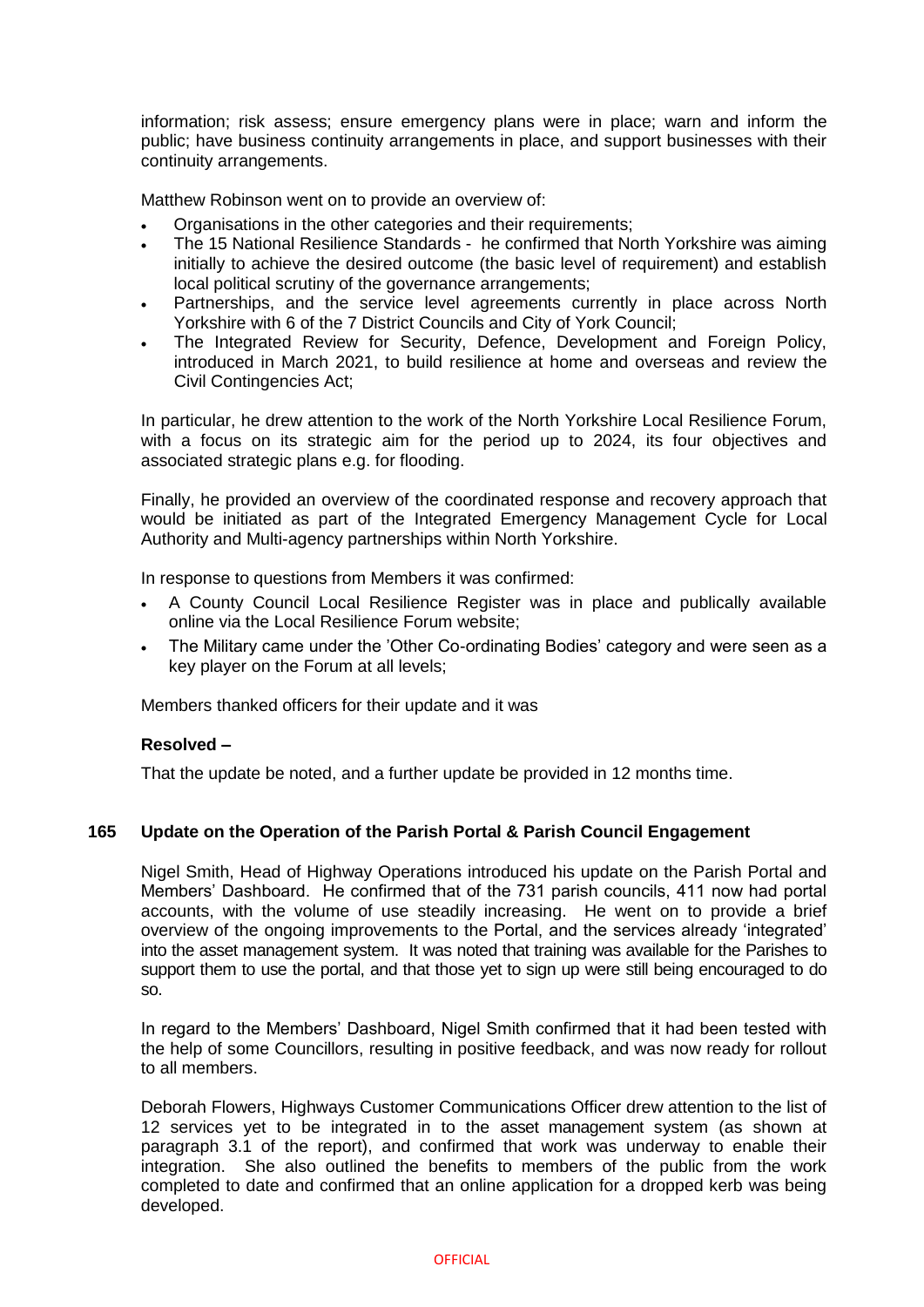information; risk assess; ensure emergency plans were in place; warn and inform the public; have business continuity arrangements in place, and support businesses with their continuity arrangements.

Matthew Robinson went on to provide an overview of:

- Organisations in the other categories and their requirements;
- The 15 National Resilience Standards he confirmed that North Yorkshire was aiming initially to achieve the desired outcome (the basic level of requirement) and establish local political scrutiny of the governance arrangements;
- Partnerships, and the service level agreements currently in place across North Yorkshire with 6 of the 7 District Councils and City of York Council;
- The Integrated Review for Security, Defence, Development and Foreign Policy, introduced in March 2021, to build resilience at home and overseas and review the Civil Contingencies Act;

In particular, he drew attention to the work of the North Yorkshire Local Resilience Forum, with a focus on its strategic aim for the period up to 2024, its four objectives and associated strategic plans e.g. for flooding.

Finally, he provided an overview of the coordinated response and recovery approach that would be initiated as part of the Integrated Emergency Management Cycle for Local Authority and Multi-agency partnerships within North Yorkshire.

In response to questions from Members it was confirmed:

- A County Council Local Resilience Register was in place and publically available online via the Local Resilience Forum website;
- The Military came under the 'Other Co-ordinating Bodies' category and were seen as a key player on the Forum at all levels;

Members thanked officers for their update and it was

#### **Resolved –**

That the update be noted, and a further update be provided in 12 months time.

# **165 Update on the Operation of the Parish Portal & Parish Council Engagement**

Nigel Smith, Head of Highway Operations introduced his update on the Parish Portal and Members' Dashboard. He confirmed that of the 731 parish councils, 411 now had portal accounts, with the volume of use steadily increasing. He went on to provide a brief overview of the ongoing improvements to the Portal, and the services already 'integrated' into the asset management system. It was noted that training was available for the Parishes to support them to use the portal, and that those yet to sign up were still being encouraged to do so.

In regard to the Members' Dashboard, Nigel Smith confirmed that it had been tested with the help of some Councillors, resulting in positive feedback, and was now ready for rollout to all members.

Deborah Flowers, Highways Customer Communications Officer drew attention to the list of 12 services yet to be integrated in to the asset management system (as shown at paragraph 3.1 of the report), and confirmed that work was underway to enable their integration. She also outlined the benefits to members of the public from the work completed to date and confirmed that an online application for a dropped kerb was being developed.